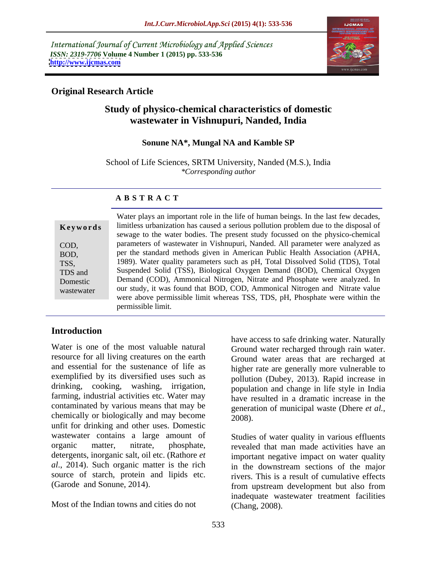International Journal of Current Microbiology and Applied Sciences *ISSN: 2319-7706* **Volume 4 Number 1 (2015) pp. 533-536 <http://www.ijcmas.com>**



## **Original Research Article**

# **Study of physico-chemical characteristics of domestic wastewater in Vishnupuri, Nanded, India**

### **Sonune NA\*, Mungal NA and Kamble SP**

School of Life Sciences, SRTM University, Nanded (M.S.), India *\*Corresponding author*

### **A B S T R A C T**

wastewater

Water plays an important role in the life of human beings. In the last few decades, limitless urbanization has caused a serious pollution problem due to the disposal of **Ke ywo rds** sewage to the water bodies. The present study focussed on the physico-chemical parameters of wastewater in Vishnupuri, Nanded. All parameter were analyzed as COD, per the standard methods given in American Public Health Association (APHA, BOD, 1989). Water quality parameters such as pH, Total Dissolved Solid (TDS), Total TSS, Suspended Solid (TSS), Biological Oxygen Demand (BOD), Chemical Oxygen TDS and Demand (COD), Ammonical Nitrogen, Nitrate and Phosphate were analyzed. In Domestic our study, it was found that BOD, COD, Ammonical Nitrogen and Nitrate value were above permissible limit whereas TSS, TDS, pH, Phosphate were within the permissible limit.

## **Introduction**

Water is one of the most valuable natural Ground water recharged through rain water. resource for all living creatures on the earth and essential for the sustenance of life as exemplified by its diversified uses such as drinking, cooking, washing, irrigation, farming, industrial activities etc. Water may contaminated by various means that may be generation of municipal waste (Dhere et al., chemically or biologically and may become  $\qquad \qquad \tilde{2008}$ ). unfit for drinking and other uses. Domestic wastewater contains a large amount of organic matter, nitrate, phosphate, revealed that man made activities have an detergents, inorganic salt, oil etc. (Rathore *et al*., 2014). Such organic matter is the rich in the downstream sections of the major source of starch, protein and lipids etc. rivers. This is a result of cumulative effects

Most of the Indian towns and cities do not

have access to safe drinking water. Naturally Ground water areas that are recharged at higher rate are generally more vulnerable to pollution (Dubey, 2013). Rapid increase in population and change in life style in India have resulted in a dramatic increase in the generation of municipal waste (Dhere *et al.*, 2008).

(Garode and Sonune, 2014). from upstream development but also from Studies of water quality in various effluents important negative impact on water quality inadequate wastewater treatment facilities (Chang, 2008).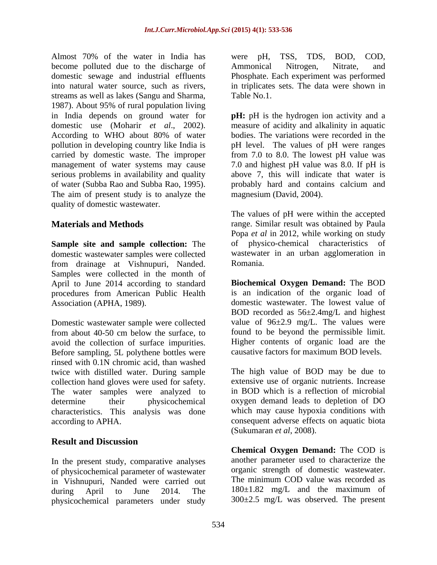Almost 70% of the water in India has were pH, TSS, TDS, BOD, COD, become polluted due to the discharge of Ammonical Nitrogen, Nitrate, and domestic sewage and industrial effluents into natural water source, such as rivers, in triplicates sets. The data were shown in streams as well as lakes (Sangu and Sharma, 1987). About 95% of rural population living in India depends on ground water for **pH:** pH is the hydrogen ion activity and a domestic use (Moharir *et al*., 2002). measure of acidity and alkalinity in aquatic According to WHO about 80% of water bodies. The variations were recorded in the pollution in developing country like India is carried by domestic waste. The improper from 7.0 to 8.0. The lowest pH value was management of water systems may cause 7.0 and highest pH value was 8.0. If pH is serious problems in availability and quality above 7, this will indicate that water is of water (Subba Rao and Subba Rao, 1995). probably hard and contains calcium and The aim of present study is to analyze the quality of domestic wastewater.

domestic wastewater samples were collected from drainage at Vishnupuri, Nanded. Samples were collected in the month of April to June 2014 according to standard procedures from American Public Health

Domestic wastewater sample were collected avoid the collection of surface impurities. Before sampling, 5L polythene bottles were rinsed with 0.1N chromic acid, than washed twice with distilled water. During sample collection hand gloves were used for safety. The water samples were analyzed to determine their physicochemical oxygen demand leads to depletion of DO characteristics. This analysis was done according to APHA. consequent adverse effects on aquatic biota

# **Result and Discussion**

In the present study, comparative analyses of physicochemical parameter of wastewater in Vishnupuri, Nanded were carried out during April to June 2014. The 180±1.82 mg/L and the maximum of physicochemical parameters under study

were pH, TSS, TDS, BOD, COD, Ammonical Nitrogen, Nitrate, and Phosphate. Each experiment was performed Table No.1.

bodies. The variations were recorded in the pH level. The values of pH were ranges magnesium (David, 2004).

**Materials and Methods range.** Similar result was obtained by Paula **Sample site and sample collection:** The The values of pH were within the accepted Popa *et al* in 2012, while working on study physico-chemical characteristics wastewater in an urban agglomeration in Romania.

Association (APHA, 1989). domestic wastewater. The lowest value of from about 40-50 cm below the surface, to found to be beyond the permissible limit. **Biochemical Oxygen Demand:** The BOD is an indication of the organic load of BOD recorded as 56±2.4mg/L and highest value of  $96\pm2.9$  mg/L. The values were Higher contents of organic load are the causative factors for maximum BOD levels.

> The high value of BOD may be due to extensive use of organic nutrients. Increase in BOD which is a reflection of microbial which may cause hypoxia conditions with (Sukumaran *et al*, 2008).

> **Chemical Oxygen Demand:** The COD is another parameter used to characterize the organic strength of domestic wastewater. The minimum COD value was recorded as 300±2.5 mg/L was observed. The present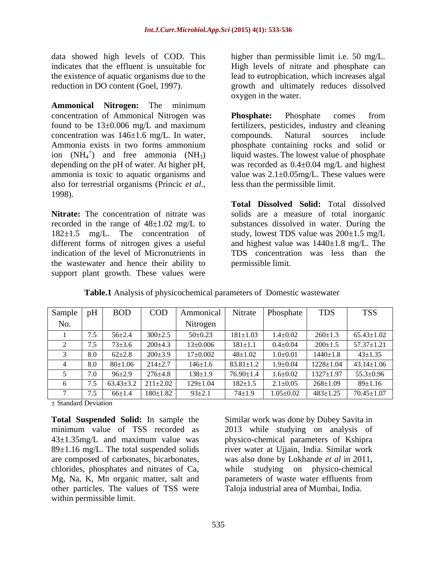data showed high levels of COD. This higher than permissible limit i.e. 50 mg/L. indicates that the effluent is unsuitable for High levels of nitrate and phosphate can the existence of aquatic organisms due to the lead to eutrophication, which increases algal

**Ammonical Nitrogen:** The minimum concentration of Ammonical Nitrogen was **Phosphate:** Phosphate comes from concentration was  $146 \pm 1.6$  mg/L. In water, compounds. Natural sources include ammonia is toxic to aquatic organisms and also for terrestrial organisms (Princic *et al*., 1998).

the wastewater and hence their ability to support plant growth. These values were

reduction in DO content (Goel, 1997). growth and ultimately reduces dissolved oxygen in the water.

found to be 13±0.006 mg/L and maximum fertilizers, pesticides, industry and cleaning Ammonia exists in two forms ammonium phosphate containing rocks and solid or ion  $(NH_4^+)$  and free ammonia  $(NH_3)$  liquid wastes. The lowest value of phosphate depending on the pH of water. At higher pH, was recorded as 0.4±0.04 mg/L and highest **Phosphate:** Phosphate comes from compounds. Natural sources include value was  $2.1 \pm 0.05$  mg/L. These values were less than the permissible limit.

**Nitrate:** The concentration of nitrate was solids are a measure of total inorganic recorded in the range of 48±1.02 mg/L to substances dissolved in water. During the 182±1.5 mg/L. The concentration of study, lowest TDS value was 200±1.5 mg/L different forms of nitrogen gives a useful and highest value was 1440±1.8 mg/L. The indication of the level of Micronutrients in TDS concentration was less than the **Total Dissolved Solid:** Total dissolved permissible limit.

| Sample |              | BOD             | <b>COD</b>     | Ammonical      | Nitrate         | <b>Phosphate</b> | <b>TDS</b>      | <b>TSS</b>       |
|--------|--------------|-----------------|----------------|----------------|-----------------|------------------|-----------------|------------------|
| No.    |              |                 |                | Nitrogen       |                 |                  |                 |                  |
|        | $\cdot\cdot$ | $56 \pm 2.4$    | $300 \pm 2.5$  | $50 \pm 0.23$  | $181 \pm 1.03$  | $1.4 \pm 0.02$   | $260 \pm 1.3$   | $65.43 \pm 1.02$ |
|        |              | $73 \pm 3.6$    | $200 \pm 4.3$  | $13 \pm 0.006$ | $181 \pm 1.1$   | $0.4 \pm 0.04$   | $200 \pm 1.5$   | $57.37 \pm 1.21$ |
|        | 8.0          | $62 \pm 2.8$    | $200 \pm 3.9$  | $17{\pm}0.002$ | $48 + 1.02$     | $1.0 \pm 0.01$   | $1440 \pm 1.8$  | $43 \pm 1.35$    |
|        | 8.0          | $80 \pm 1.06$   | $214 \pm 2.7$  | $146 \pm 1.6$  | $83.81 \pm 1.2$ | $1.9 + 0.04$     | $1228 \pm 1.04$ | $43.14 \pm 1.06$ |
|        |              | $96 \pm 2.9$    | $276 + 4.8$    | $138 \pm 1.9$  | $76.90 \pm 1.4$ | $1.6 \pm 0.02$   | $1327 \pm 1.97$ | $55.3 \pm 0.96$  |
|        |              | $63.43 \pm 3.2$ | $211 \pm 2.02$ | $129 \pm 1.04$ | $182 \pm 1.5$   | $2.1 \pm 0.05$   | $268 \pm 1.09$  | $89 \pm 1.16$    |
|        |              | $66 \pm 1.4$    | $180 \pm 1.82$ | $93 \pm 2.1$   | $74 + 1.9$      | $1.05 \pm 0.02$  | $483 \pm 1.25$  | $70.45 \pm 1.07$ |

**Table.1** Analysis of physicochemical parameters of Domestic wastewater

± Standard Deviation

**Total Suspended Solid:** In sample the Similar work was done by Dubey Savita in minimum value of TSS recorded as 43±1.35mg/L and maximum value was physico-chemical parameters of Kshipra 89±1.16 mg/L. The total suspended solids river water at Ujjain, India. Similar work are composed of carbonates, bicarbonates, was also done by Lokhande *et al* in 2011, chlorides, phosphates and nitrates of Ca, Mg, Na, K, Mn organic matter, salt and parameters of waste water effluents from other particles. The values of TSS were within permissible limit.

2013 while studying on analysis of was also done by Lokhande *et al* in 2011,<br>while studying on physico-chemical Taloja industrial area of Mumbai, India.